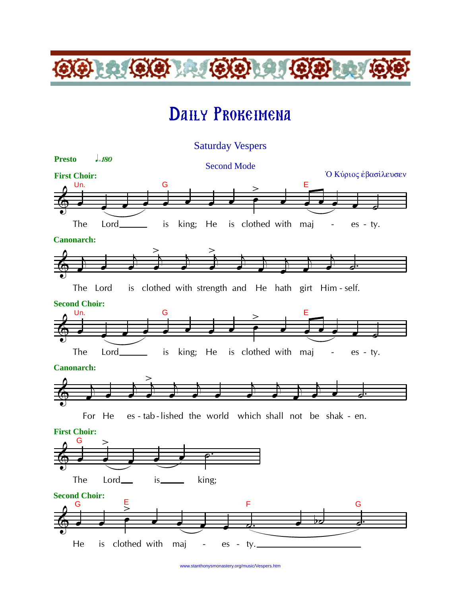# Daily Prokeimena

 $(3)$   $(0)$ 

 $9 - 9 - 0$ 



www.stanthonysmonastery.org/music/Vespers.htm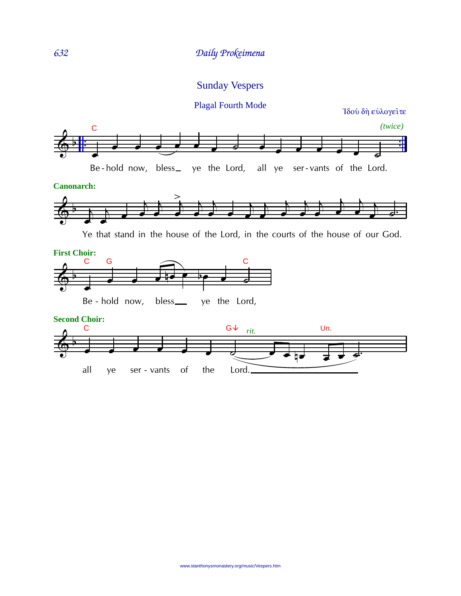#### Sunday Vespers

#### $\overline{\bigoplus_{i=1}^{k}P_i}$ . . . *(twice)* œ <sup>œ</sup> <sup>œ</sup> <sup>œ</sup> <sup>œ</sup> <sup>œ</sup> <sup>œ</sup> ˙ <sup>œ</sup> <sup>œ</sup> <sup>œ</sup> <sup>œ</sup> <sup>œ</sup> <sup>œ</sup> ˙ C Be-hold now, bless\_ ye the Lord, all ye ser-vants of the Lord. Ιδού δή εύλογειτε Plagal Fourth Mode

**Canonarch:**



Ye that stand in the house of the Lord, in the courts of the house of our God.



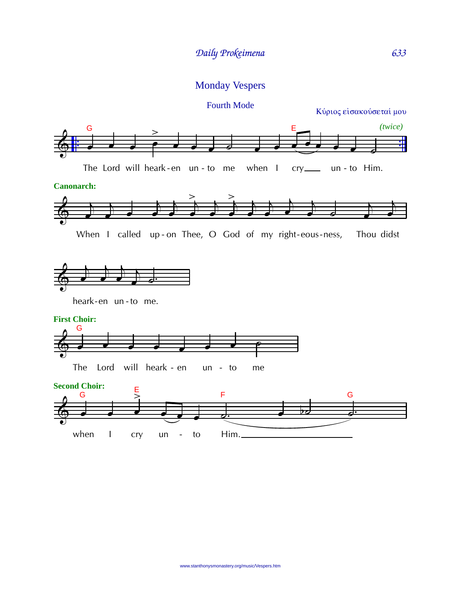## Monday Vespers

#### Fourth Mode

Κύριος είσακούσεταί μου

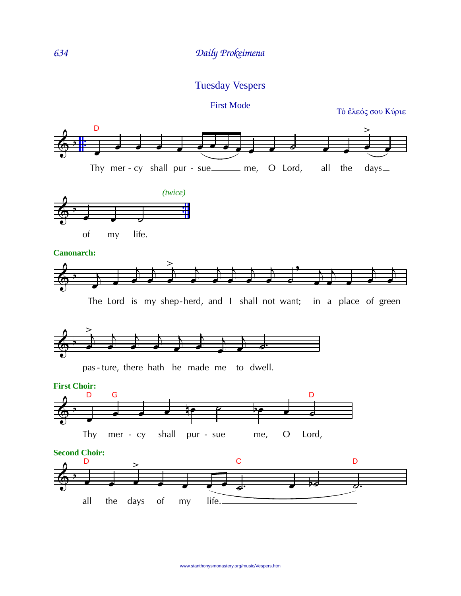### Tuesday Vespers

First Mode

Τὸ ἔλεός σου Κύριε



www.stanthonysmonastery.org/music/Vespers.htm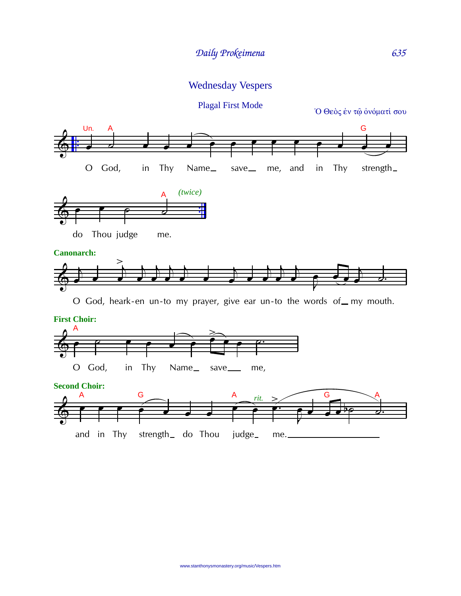Wednesday Vespers

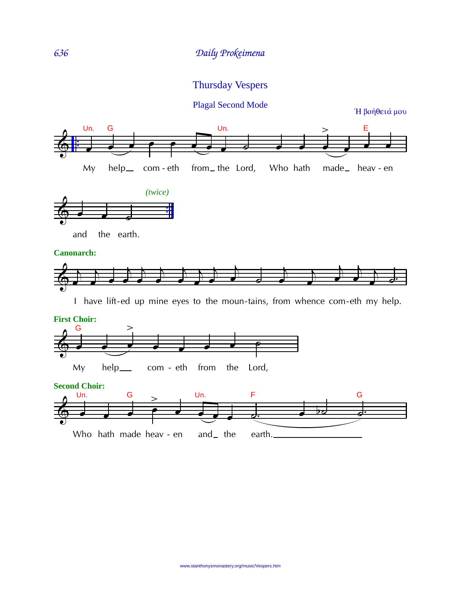## Thursday Vespers